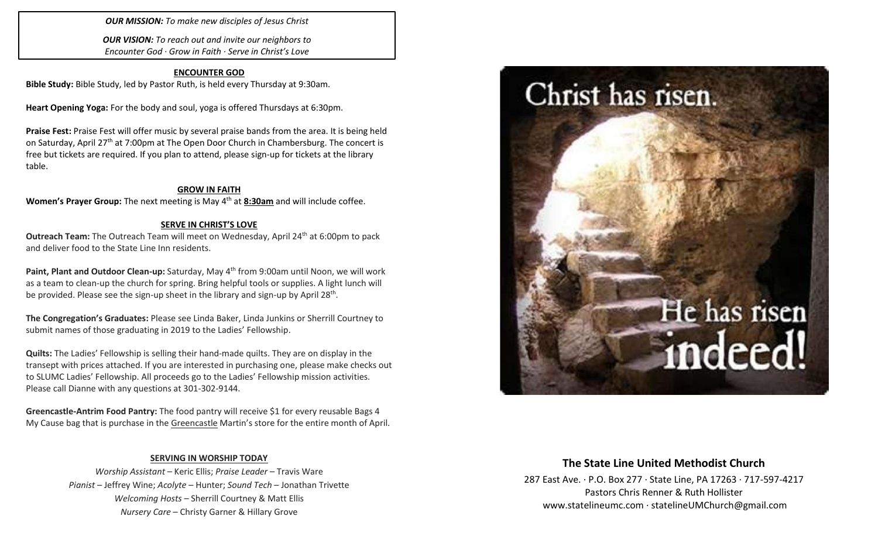*OUR MISSION: To make new disciples of Jesus Christ*

*OUR VISION: To reach out and invite our neighbors to Encounter God · Grow in Faith · Serve in Christ's Love*

### **ENCOUNTER GOD**

**Bible Study:** Bible Study, led by Pastor Ruth, is held every Thursday at 9:30am.

**Heart Opening Yoga:** For the body and soul, yoga is offered Thursdays at 6:30pm.

**Praise Fest:** Praise Fest will offer music by several praise bands from the area. It is being held on Saturday, April 27<sup>th</sup> at 7:00pm at The Open Door Church in Chambersburg. The concert is free but tickets are required. If you plan to attend, please sign-up for tickets at the library table.

### **GROW IN FAITH**

**Women's Prayer Group:** The next meeting is May 4<sup>th</sup> at **8:30am** and will include coffee.

### **SERVE IN CHRIST'S LOVE**

**Outreach Team:** The Outreach Team will meet on Wednesday, April 24<sup>th</sup> at 6:00pm to pack and deliver food to the State Line Inn residents.

**Paint, Plant and Outdoor Clean-up:** Saturday, May 4th from 9:00am until Noon, we will work as a team to clean-up the church for spring. Bring helpful tools or supplies. A light lunch will be provided. Please see the sign-up sheet in the library and sign-up by April 28<sup>th</sup>.

**The Congregation's Graduates:** Please see Linda Baker, Linda Junkins or Sherrill Courtney to submit names of those graduating in 2019 to the Ladies' Fellowship.

**Quilts:** The Ladies' Fellowship is selling their hand-made quilts. They are on display in the transept with prices attached. If you are interested in purchasing one, please make checks out to SLUMC Ladies' Fellowship. All proceeds go to the Ladies' Fellowship mission activities. Please call Dianne with any questions at 301-302-9144.

**Greencastle-Antrim Food Pantry:** The food pantry will receive \$1 for every reusable Bags 4 My Cause bag that is purchase in the Greencastle Martin's store for the entire month of April.

## **SERVING IN WORSHIP TODAY**

*Worship Assistant* – Keric Ellis; *Praise Leader* – Travis Ware *Pianist* – Jeffrey Wine; *Acolyte* – Hunter; *Sound Tech* – Jonathan Trivette *Welcoming Hosts* – Sherrill Courtney & Matt Ellis *Nursery Care* – Christy Garner & Hillary Grove



## **The State Line United Methodist Church**

287 East Ave. · P.O. Box 277 · State Line, PA 17263 · 717-597-4217 Pastors Chris Renner & Ruth Hollister [www.statelineumc.com](http://www.statelineumc.com/) · statelineUMChurch@gmail.com